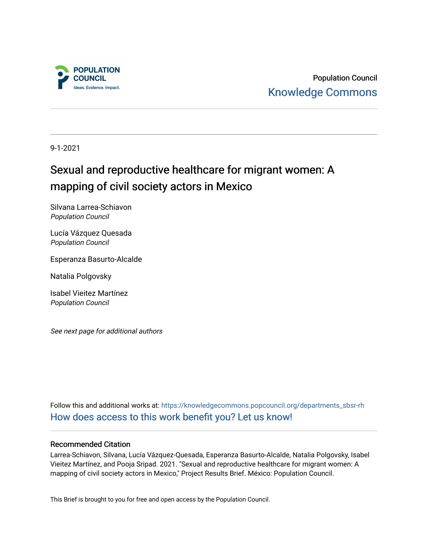

Population Council [Knowledge Commons](https://knowledgecommons.popcouncil.org/) 

9-1-2021

# Sexual and reproductive healthcare for migrant women: A mapping of civil society actors in Mexico

Silvana Larrea-Schiavon Population Council

Lucía Vázquez Quesada Population Council

Esperanza Basurto-Alcalde

Natalia Polgovsky

Isabel Vieitez Martínez Population Council

See next page for additional authors

Follow this and additional works at: [https://knowledgecommons.popcouncil.org/departments\\_sbsr-rh](https://knowledgecommons.popcouncil.org/departments_sbsr-rh?utm_source=knowledgecommons.popcouncil.org%2Fdepartments_sbsr-rh%2F1678&utm_medium=PDF&utm_campaign=PDFCoverPages)  [How does access to this work benefit you? Let us know!](https://pcouncil.wufoo.com/forms/open-access-to-population-council-research/)

# Recommended Citation

Larrea-Schiavon, Silvana, Lucía Vázquez-Quesada, Esperanza Basurto-Alcalde, Natalia Polgovsky, Isabel Vieitez Martínez, and Pooja Sripad. 2021. "Sexual and reproductive healthcare for migrant women: A mapping of civil society actors in Mexico," Project Results Brief. México: Population Council.

This Brief is brought to you for free and open access by the Population Council.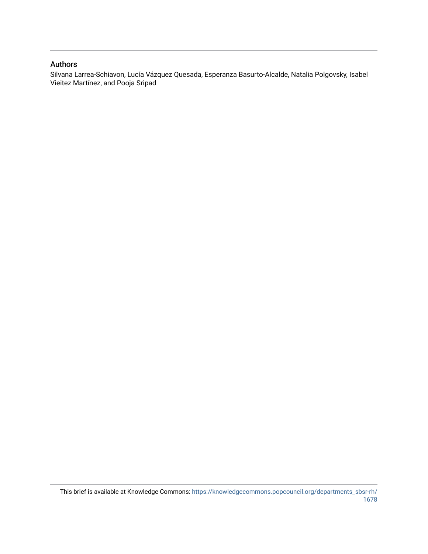## Authors

Silvana Larrea-Schiavon, Lucía Vázquez Quesada, Esperanza Basurto-Alcalde, Natalia Polgovsky, Isabel Vieitez Martínez, and Pooja Sripad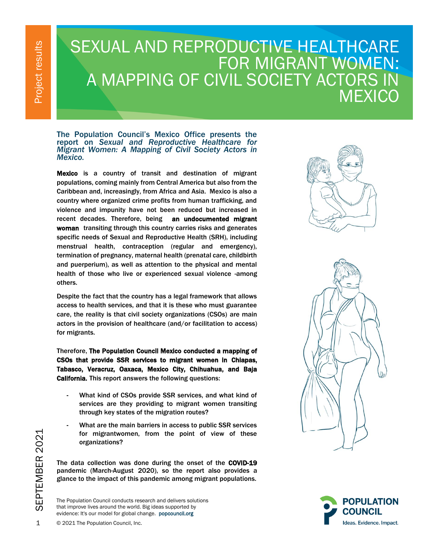I

# SEXUAL AND REPRODUCTIVE HEALTHCARE FOR MIGRANT WOMEN: A MAPPING OF CIVIL SOCIETY ACTORS IN **MEXICO**

### The Population Council's Mexico Office presents the report on *Sexual and Reproductive Healthcare for Migrant Women: A Mapping of Civil Society Actors in Mexico.*

Mexico is a country of transit and destination of migrant populations, coming mainly from Central America but also from the Caribbean and, increasingly, from Africa and Asia. Mexico is also a country where organized crime profits from human trafficking, and violence and impunity have not been reduced but increased in recent decades. Therefore, being an undocumented migrant woman transiting through this country carries risks and generates specific needs of Sexual and Reproductive Health (SRH), including menstrual health, contraception (regular and emergency), termination of pregnancy, maternal health (prenatal care, childbirth and puerperium), as well as attention to the physical and mental health of those who live or experienced sexual violence -among others.

Despite the fact that the country has a legal framework that allows access to health services, and that it is these who must guarantee care, the reality is that civil society organizations (CSOs) are main actors in the provision of healthcare (and/or facilitation to access) for migrants.

Therefore, The Population Council Mexico conducted a mapping of CSOs that provide SSR services to migrant women in Chiapas, Tabasco, Veracruz, Oaxaca, Mexico City, Chihuahua, and Baja California. This report answers the following questions:

- What kind of CSOs provide SSR services, and what kind of services are they providing to migrant women transiting through key states of the migration routes?
- What are the main barriers in access to public SSR services for migrantwomen, from the point of view of these organizations?

The data collection was done during the onset of the COVID-19 pandemic (March-August 2020), so the report also provides a glance to the impact of this pandemic among migrant populations.

The Population Council conducts research and delivers solutions that improve lives around the world. Big ideas supported by evidence: It's our model for global change. popcouncil.org